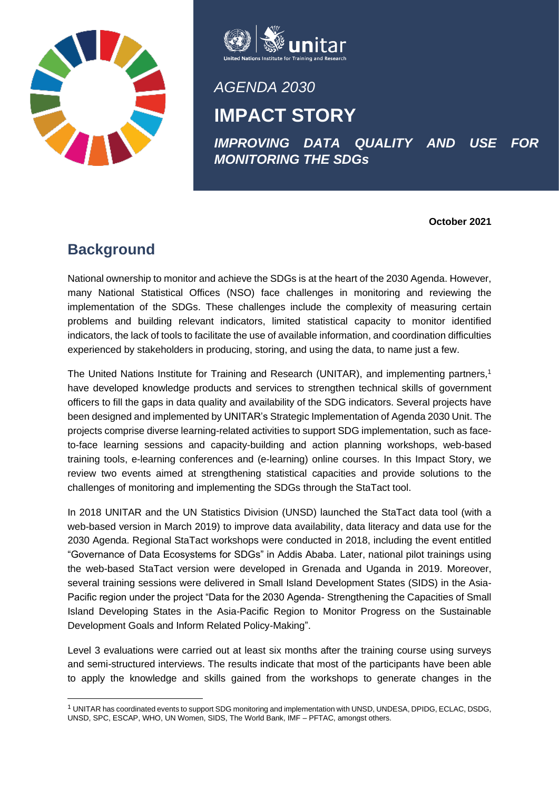



*AGENDA 2030*

## **IMPACT STORY**

*IMPROVING DATA QUALITY AND USE FOR MONITORING THE SDGs*

**October 2021**

#### **Background**

National ownership to monitor and achieve the SDGs is at the heart of the 2030 Agenda. However, many National Statistical Offices (NSO) face challenges in monitoring and reviewing the implementation of the SDGs. These challenges include the complexity of measuring certain problems and building relevant indicators, limited statistical capacity to monitor identified indicators, the lack of tools to facilitate the use of available information, and coordination difficulties experienced by stakeholders in producing, storing, and using the data, to name just a few.

The United Nations Institute for Training and Research (UNITAR), and implementing partners,<sup>1</sup> have developed knowledge products and services to strengthen technical skills of government officers to fill the gaps in data quality and availability of the SDG indicators. Several projects have been designed and implemented by UNITAR's Strategic Implementation of Agenda 2030 Unit. The projects comprise diverse learning-related activities to support SDG implementation, such as faceto-face learning sessions and capacity-building and action planning workshops, web-based training tools, e-learning conferences and (e-learning) online courses. In this Impact Story, we review two events aimed at strengthening statistical capacities and provide solutions to the challenges of monitoring and implementing the SDGs through the StaTact tool.

In 2018 UNITAR and the UN Statistics Division (UNSD) launched the StaTact data tool (with a web-based version in March 2019) to improve data availability, data literacy and data use for the 2030 Agenda. Regional StaTact workshops were conducted in 2018, including the event entitled "Governance of Data Ecosystems for SDGs" in Addis Ababa. Later, national pilot trainings using the web-based StaTact version were developed in Grenada and Uganda in 2019. Moreover, several training sessions were delivered in Small Island Development States (SIDS) in the Asia-Pacific region under the project "Data for the 2030 Agenda- Strengthening the Capacities of Small Island Developing States in the Asia-Pacific Region to Monitor Progress on the Sustainable Development Goals and Inform Related Policy-Making".

Level 3 evaluations were carried out at least six months after the training course using surveys and semi-structured interviews. The results indicate that most of the participants have been able to apply the knowledge and skills gained from the workshops to generate changes in the

<sup>1</sup> UNITAR has coordinated events to support SDG monitoring and implementation with UNSD, UNDESA, DPIDG, ECLAC, DSDG, UNSD, SPC, ESCAP, WHO, UN Women, SIDS, The World Bank, IMF – PFTAC, amongst others.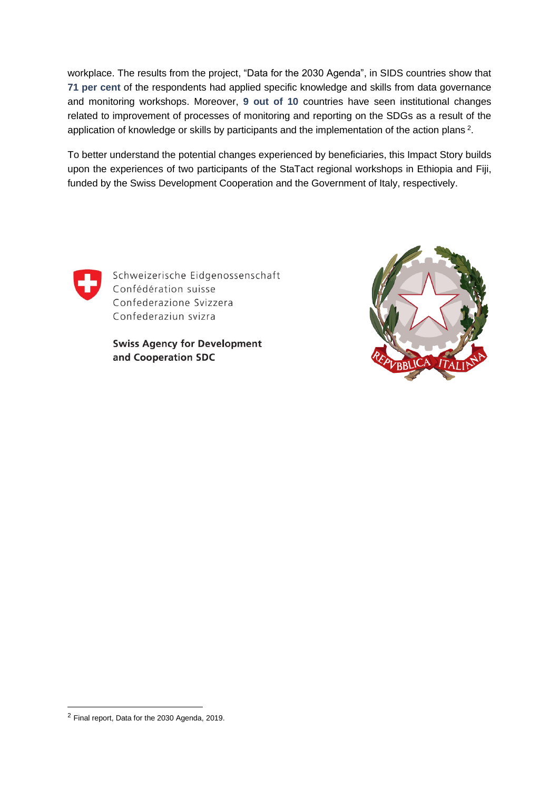workplace. The results from the project, "Data for the 2030 Agenda", in SIDS countries show that **71 per cent** of the respondents had applied specific knowledge and skills from data governance and monitoring workshops. Moreover, **9 out of 10** countries have seen institutional changes related to improvement of processes of monitoring and reporting on the SDGs as a result of the application of knowledge or skills by participants and the implementation of the action plans<sup>2</sup>.

To better understand the potential changes experienced by beneficiaries, this Impact Story builds upon the experiences of two participants of the StaTact regional workshops in Ethiopia and Fiji, funded by the Swiss Development Cooperation and the Government of Italy, respectively.



Schweizerische Eidgenossenschaft Confédération suisse Confederazione Svizzera Confederaziun svizra

**Swiss Agency for Development** and Cooperation SDC



<sup>2</sup> Final report, Data for the 2030 Agenda, 2019.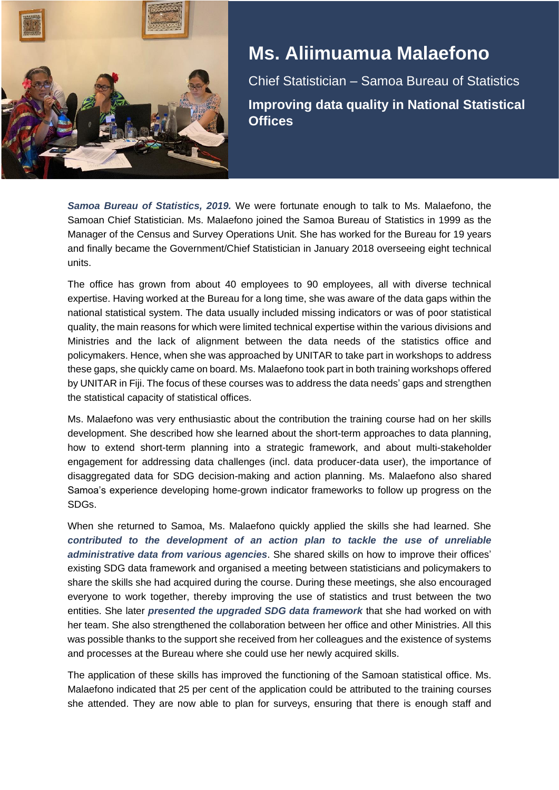

# **Ms. Aliimuamua Malaefono**

Chief Statistician – Samoa Bureau of Statistics **Improving data quality in National Statistical Offices**

*Samoa Bureau of Statistics, 2019.* We were fortunate enough to talk to Ms. Malaefono, the Samoan Chief Statistician. Ms. Malaefono joined the Samoa Bureau of Statistics in 1999 as the Manager of the Census and Survey Operations Unit. She has worked for the Bureau for 19 years and finally became the Government/Chief Statistician in January 2018 overseeing eight technical units.

The office has grown from about 40 employees to 90 employees, all with diverse technical expertise. Having worked at the Bureau for a long time, she was aware of the data gaps within the national statistical system. The data usually included missing indicators or was of poor statistical quality, the main reasons for which were limited technical expertise within the various divisions and Ministries and the lack of alignment between the data needs of the statistics office and policymakers. Hence, when she was approached by UNITAR to take part in workshops to address these gaps, she quickly came on board. Ms. Malaefono took part in both training workshops offered by UNITAR in Fiji. The focus of these courses was to address the data needs' gaps and strengthen the statistical capacity of statistical offices.

Ms. Malaefono was very enthusiastic about the contribution the training course had on her skills development. She described how she learned about the short-term approaches to data planning, how to extend short-term planning into a strategic framework, and about multi-stakeholder engagement for addressing data challenges (incl. data producer-data user), the importance of disaggregated data for SDG decision-making and action planning. Ms. Malaefono also shared Samoa's experience developing home-grown indicator frameworks to follow up progress on the SDGs.

When she returned to Samoa, Ms. Malaefono quickly applied the skills she had learned. She *contributed to the development of an action plan to tackle the use of unreliable administrative data from various agencies*. She shared skills on how to improve their offices' existing SDG data framework and organised a meeting between statisticians and policymakers to share the skills she had acquired during the course. During these meetings, she also encouraged everyone to work together, thereby improving the use of statistics and trust between the two entities. She later *presented the upgraded SDG data framework* that she had worked on with her team. She also strengthened the collaboration between her office and other Ministries. All this was possible thanks to the support she received from her colleagues and the existence of systems and processes at the Bureau where she could use her newly acquired skills.

The application of these skills has improved the functioning of the Samoan statistical office. Ms. Malaefono indicated that 25 per cent of the application could be attributed to the training courses she attended. They are now able to plan for surveys, ensuring that there is enough staff and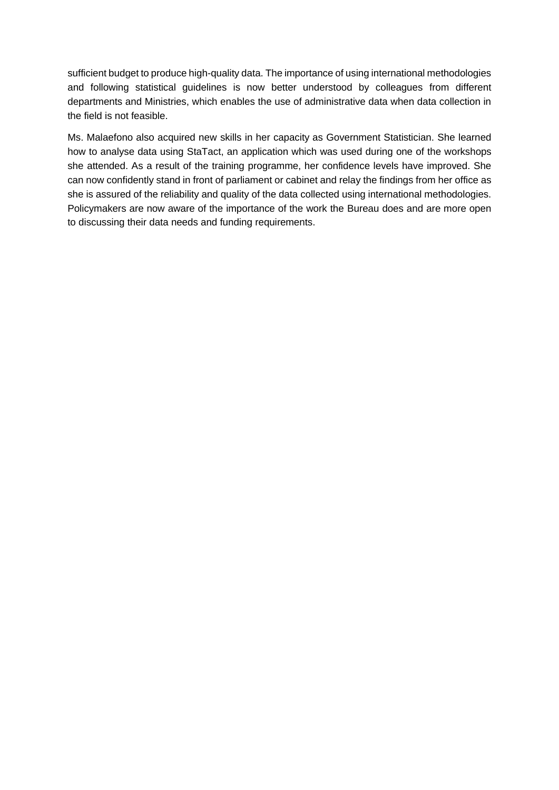sufficient budget to produce high-quality data. The importance of using international methodologies and following statistical guidelines is now better understood by colleagues from different departments and Ministries, which enables the use of administrative data when data collection in the field is not feasible.

Ms. Malaefono also acquired new skills in her capacity as Government Statistician. She learned how to analyse data using StaTact, an application which was used during one of the workshops she attended. As a result of the training programme, her confidence levels have improved. She can now confidently stand in front of parliament or cabinet and relay the findings from her office as she is assured of the reliability and quality of the data collected using international methodologies. Policymakers are now aware of the importance of the work the Bureau does and are more open to discussing their data needs and funding requirements.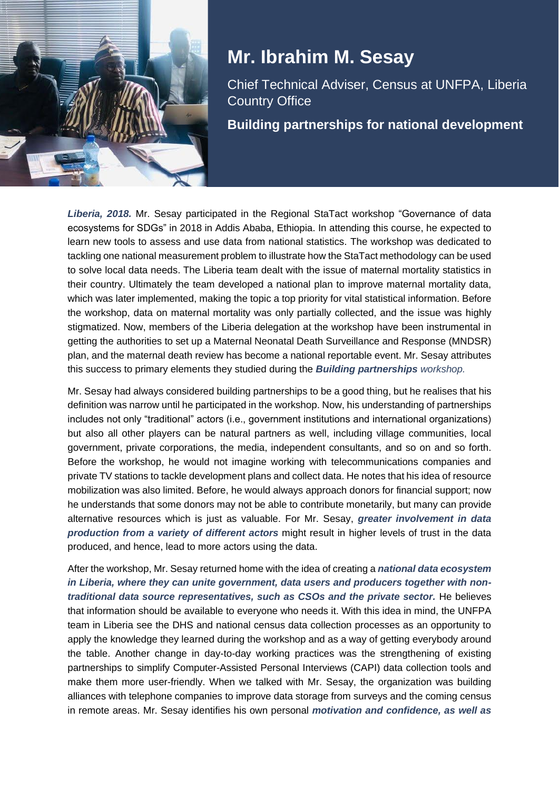

# **Mr. Ibrahim M. Sesay**

Chief Technical Adviser, Census at UNFPA, Liberia Country Office

**Building partnerships for national development**

*Liberia, 2018.* Mr. Sesay participated in the Regional StaTact workshop "Governance of data ecosystems for SDGs" in 2018 in Addis Ababa, Ethiopia. In attending this course, he expected to learn new tools to assess and use data from national statistics. The workshop was dedicated to tackling one national measurement problem to illustrate how the StaTact methodology can be used to solve local data needs. The Liberia team dealt with the issue of maternal mortality statistics in their country. Ultimately the team developed a national plan to improve maternal mortality data, which was later implemented, making the topic a top priority for vital statistical information. Before the workshop, data on maternal mortality was only partially collected, and the issue was highly stigmatized. Now, members of the Liberia delegation at the workshop have been instrumental in getting the authorities to set up a Maternal Neonatal Death Surveillance and Response (MNDSR) plan, and the maternal death review has become a national reportable event. Mr. Sesay attributes this success to primary elements they studied during the *Building partnerships workshop.*

Mr. Sesay had always considered building partnerships to be a good thing, but he realises that his definition was narrow until he participated in the workshop. Now, his understanding of partnerships includes not only "traditional" actors (i.e., government institutions and international organizations) but also all other players can be natural partners as well, including village communities, local government, private corporations, the media, independent consultants, and so on and so forth. Before the workshop, he would not imagine working with telecommunications companies and private TV stations to tackle development plans and collect data. He notes that his idea of resource mobilization was also limited. Before, he would always approach donors for financial support; now he understands that some donors may not be able to contribute monetarily, but many can provide alternative resources which is just as valuable. For Mr. Sesay, *greater involvement in data production from a variety of different actors* might result in higher levels of trust in the data produced, and hence, lead to more actors using the data.

After the workshop, Mr. Sesay returned home with the idea of creating a *national data ecosystem in Liberia, where they can unite government, data users and producers together with nontraditional data source representatives, such as CSOs and the private sector.* He believes that information should be available to everyone who needs it. With this idea in mind, the UNFPA team in Liberia see the DHS and national census data collection processes as an opportunity to apply the knowledge they learned during the workshop and as a way of getting everybody around the table. Another change in day-to-day working practices was the strengthening of existing partnerships to simplify Computer-Assisted Personal Interviews (CAPI) data collection tools and make them more user-friendly. When we talked with Mr. Sesay, the organization was building alliances with telephone companies to improve data storage from surveys and the coming census in remote areas. Mr. Sesay identifies his own personal *motivation and confidence, as well as*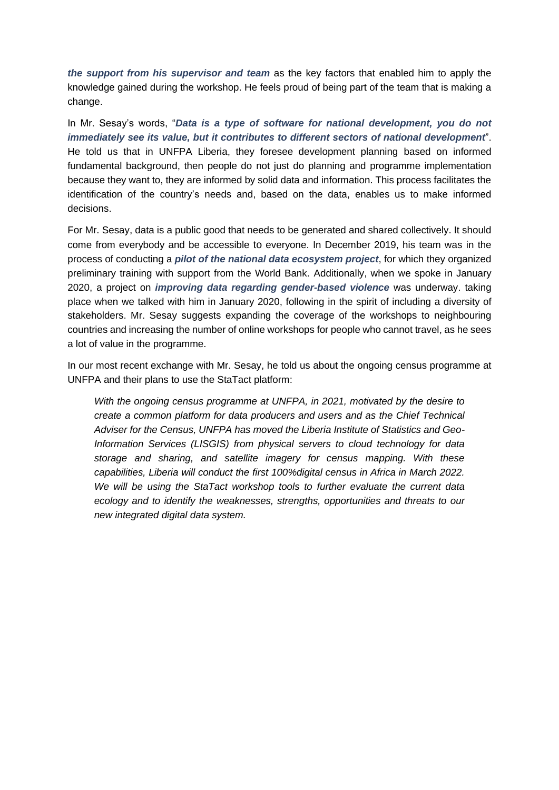*the support from his supervisor and team* as the key factors that enabled him to apply the knowledge gained during the workshop. He feels proud of being part of the team that is making a change.

In Mr. Sesay's words, "*Data is a type of software for national development, you do not immediately see its value, but it contributes to different sectors of national development*". He told us that in UNFPA Liberia, they foresee development planning based on informed fundamental background, then people do not just do planning and programme implementation because they want to, they are informed by solid data and information. This process facilitates the identification of the country's needs and, based on the data, enables us to make informed decisions.

For Mr. Sesay, data is a public good that needs to be generated and shared collectively. It should come from everybody and be accessible to everyone. In December 2019, his team was in the process of conducting a *pilot of the national data ecosystem project*, for which they organized preliminary training with support from the World Bank. Additionally, when we spoke in January 2020, a project on *improving data regarding gender-based violence* was underway. taking place when we talked with him in January 2020, following in the spirit of including a diversity of stakeholders. Mr. Sesay suggests expanding the coverage of the workshops to neighbouring countries and increasing the number of online workshops for people who cannot travel, as he sees a lot of value in the programme.

In our most recent exchange with Mr. Sesay, he told us about the ongoing census programme at UNFPA and their plans to use the StaTact platform:

*With the ongoing census programme at UNFPA, in 2021, motivated by the desire to create a common platform for data producers and users and as the Chief Technical Adviser for the Census, UNFPA has moved the Liberia Institute of Statistics and Geo-Information Services (LISGIS) from physical servers to cloud technology for data storage and sharing, and satellite imagery for census mapping. With these capabilities, Liberia will conduct the first 100%digital census in Africa in March 2022. We will be using the StaTact workshop tools to further evaluate the current data ecology and to identify the weaknesses, strengths, opportunities and threats to our new integrated digital data system.*